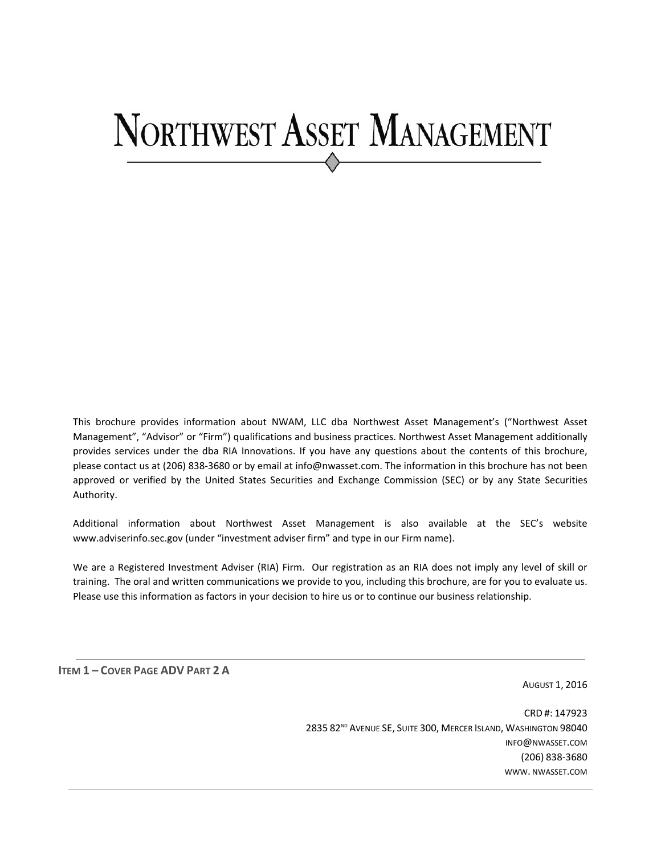# NORTHWEST ASSET MANAGEMENT

This brochure provides information about NWAM, LLC dba Northwest Asset Management's ("Northwest Asset Management", "Advisor" or "Firm") qualifications and business practices. Northwest Asset Management additionally provides services under the dba RIA Innovations. If you have any questions about the contents of this brochure, please contact us at (206) 838‐3680 or by email at info@nwasset.com. The information in this brochure has not been approved or verified by the United States Securities and Exchange Commission (SEC) or by any State Securities Authority.

Additional information about Northwest Asset Management is also available at the SEC's website www.adviserinfo.sec.gov (under "investment adviser firm" and type in our Firm name).

We are a Registered Investment Adviser (RIA) Firm. Our registration as an RIA does not imply any level of skill or training. The oral and written communications we provide to you, including this brochure, are for you to evaluate us. Please use this information as factors in your decision to hire us or to continue our business relationship.

**ITEM 1 – COVER PAGE ADV PART 2 A** 

AUGUST 1, 2016

CRD #: 147923 2835 82<sup>ND</sup> AVENUE SE, SUITE 300, MERCER ISLAND, WASHINGTON 98040 INFO@NWASSET.COM (206) 838‐3680 WWW. NWASSET.COM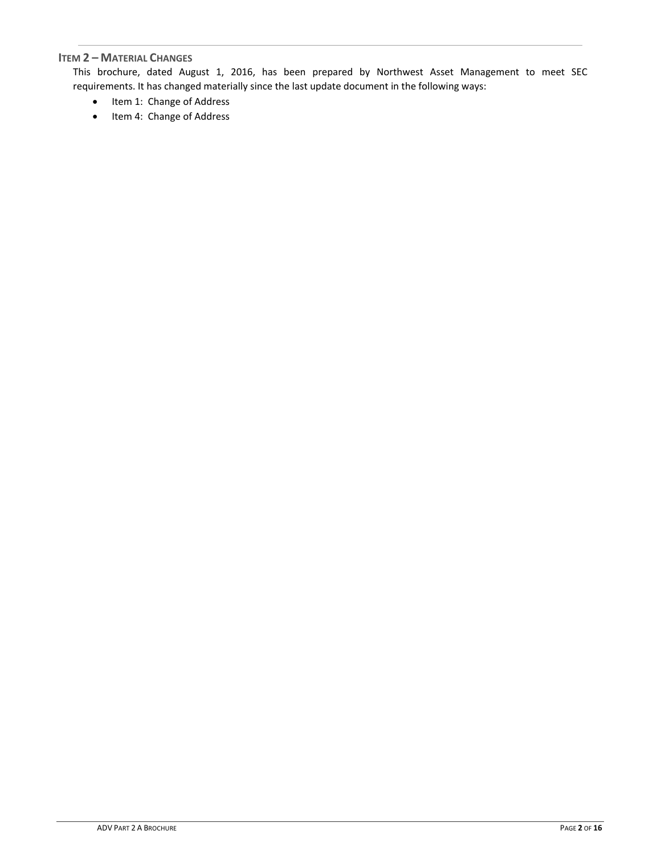# **ITEM 2 – MATERIAL CHANGES**

This brochure, dated August 1, 2016, has been prepared by Northwest Asset Management to meet SEC requirements. It has changed materially since the last update document in the following ways:

- Item 1: Change of Address
- Item 4: Change of Address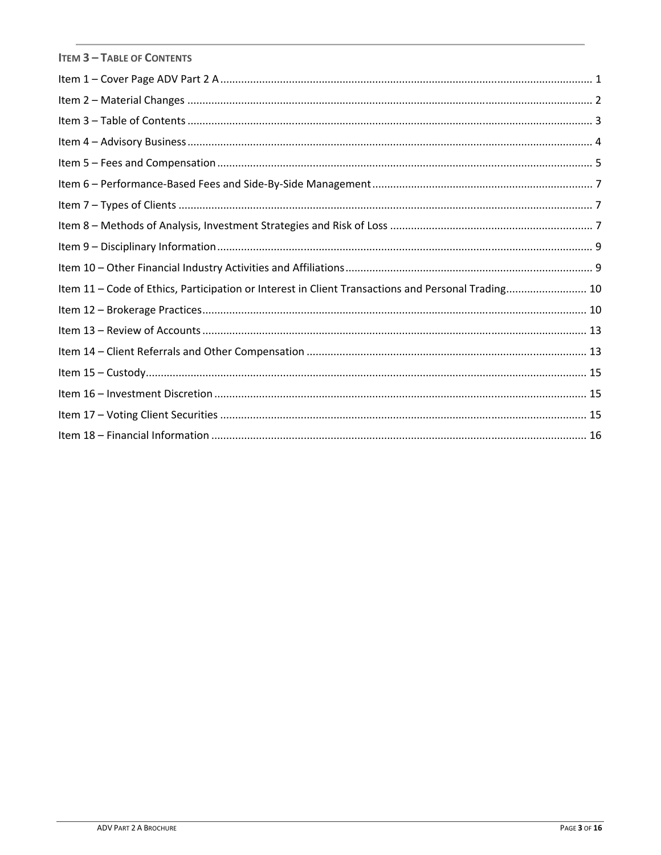| <b>ITEM 3 - TABLE OF CONTENTS</b>                                                                  |
|----------------------------------------------------------------------------------------------------|
|                                                                                                    |
|                                                                                                    |
|                                                                                                    |
|                                                                                                    |
|                                                                                                    |
|                                                                                                    |
|                                                                                                    |
|                                                                                                    |
|                                                                                                    |
|                                                                                                    |
| Item 11 - Code of Ethics, Participation or Interest in Client Transactions and Personal Trading 10 |
|                                                                                                    |
|                                                                                                    |
|                                                                                                    |
|                                                                                                    |
|                                                                                                    |
|                                                                                                    |
|                                                                                                    |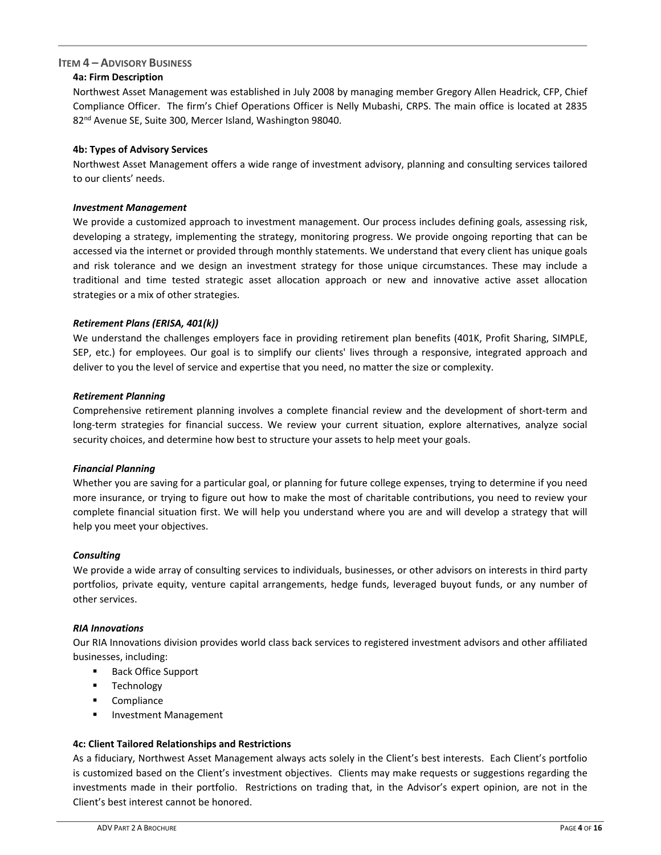# **ITEM 4 – ADVISORY BUSINESS**

# **4a: Firm Description**

Northwest Asset Management was established in July 2008 by managing member Gregory Allen Headrick, CFP, Chief Compliance Officer. The firm's Chief Operations Officer is Nelly Mubashi, CRPS. The main office is located at 2835 82nd Avenue SE, Suite 300, Mercer Island, Washington 98040.

# **4b: Types of Advisory Services**

Northwest Asset Management offers a wide range of investment advisory, planning and consulting services tailored to our clients' needs.

## *Investment Management*

We provide a customized approach to investment management. Our process includes defining goals, assessing risk, developing a strategy, implementing the strategy, monitoring progress. We provide ongoing reporting that can be accessed via the internet or provided through monthly statements. We understand that every client has unique goals and risk tolerance and we design an investment strategy for those unique circumstances. These may include a traditional and time tested strategic asset allocation approach or new and innovative active asset allocation strategies or a mix of other strategies.

## *Retirement Plans (ERISA, 401(k))*

We understand the challenges employers face in providing retirement plan benefits (401K, Profit Sharing, SIMPLE, SEP, etc.) for employees. Our goal is to simplify our clients' lives through a responsive, integrated approach and deliver to you the level of service and expertise that you need, no matter the size or complexity.

## *Retirement Planning*

Comprehensive retirement planning involves a complete financial review and the development of short‐term and long-term strategies for financial success. We review your current situation, explore alternatives, analyze social security choices, and determine how best to structure your assets to help meet your goals.

# *Financial Planning*

Whether you are saving for a particular goal, or planning for future college expenses, trying to determine if you need more insurance, or trying to figure out how to make the most of charitable contributions, you need to review your complete financial situation first. We will help you understand where you are and will develop a strategy that will help you meet your objectives.

## *Consulting*

We provide a wide array of consulting services to individuals, businesses, or other advisors on interests in third party portfolios, private equity, venture capital arrangements, hedge funds, leveraged buyout funds, or any number of other services.

## *RIA Innovations*

Our RIA Innovations division provides world class back services to registered investment advisors and other affiliated businesses, including:

- **Back Office Support**
- **Technology**
- **Compliance**
- **Investment Management**

# **4c: Client Tailored Relationships and Restrictions**

As a fiduciary, Northwest Asset Management always acts solely in the Client's best interests. Each Client's portfolio is customized based on the Client's investment objectives. Clients may make requests or suggestions regarding the investments made in their portfolio. Restrictions on trading that, in the Advisor's expert opinion, are not in the Client's best interest cannot be honored.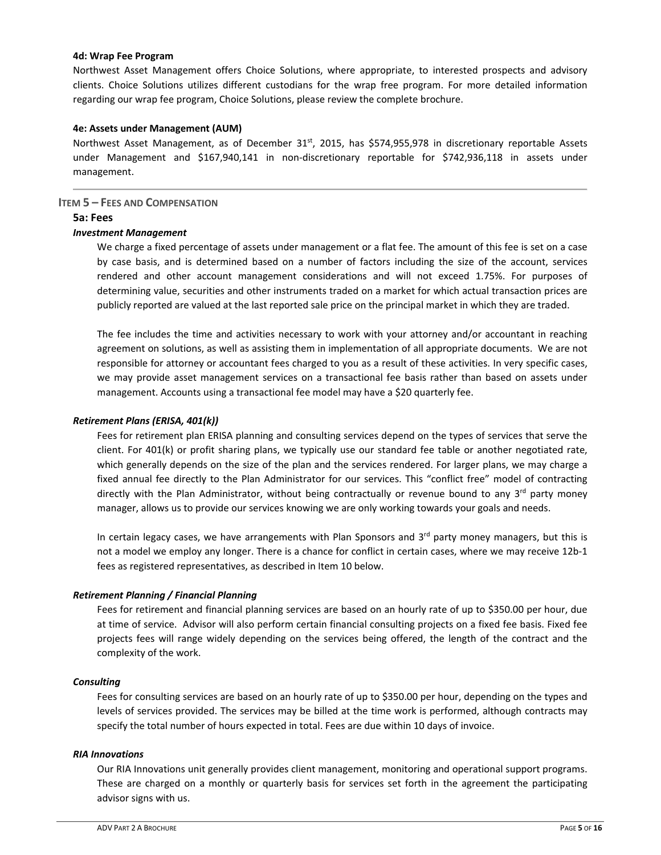## **4d: Wrap Fee Program**

Northwest Asset Management offers Choice Solutions, where appropriate, to interested prospects and advisory clients. Choice Solutions utilizes different custodians for the wrap free program. For more detailed information regarding our wrap fee program, Choice Solutions, please review the complete brochure.

## **4e: Assets under Management (AUM)**

Northwest Asset Management, as of December 31<sup>st</sup>, 2015, has \$574,955,978 in discretionary reportable Assets under Management and \$167,940,141 in non‐discretionary reportable for \$742,936,118 in assets under management.

## **ITEM 5 – FEES AND COMPENSATION**

## **5a: Fees**

## *Investment Management*

We charge a fixed percentage of assets under management or a flat fee. The amount of this fee is set on a case by case basis, and is determined based on a number of factors including the size of the account, services rendered and other account management considerations and will not exceed 1.75%. For purposes of determining value, securities and other instruments traded on a market for which actual transaction prices are publicly reported are valued at the last reported sale price on the principal market in which they are traded.

The fee includes the time and activities necessary to work with your attorney and/or accountant in reaching agreement on solutions, as well as assisting them in implementation of all appropriate documents. We are not responsible for attorney or accountant fees charged to you as a result of these activities. In very specific cases, we may provide asset management services on a transactional fee basis rather than based on assets under management. Accounts using a transactional fee model may have a \$20 quarterly fee.

## *Retirement Plans (ERISA, 401(k))*

Fees for retirement plan ERISA planning and consulting services depend on the types of services that serve the client. For 401(k) or profit sharing plans, we typically use our standard fee table or another negotiated rate, which generally depends on the size of the plan and the services rendered. For larger plans, we may charge a fixed annual fee directly to the Plan Administrator for our services. This "conflict free" model of contracting directly with the Plan Administrator, without being contractually or revenue bound to any 3<sup>rd</sup> party money manager, allows us to provide our services knowing we are only working towards your goals and needs.

In certain legacy cases, we have arrangements with Plan Sponsors and  $3<sup>rd</sup>$  party money managers, but this is not a model we employ any longer. There is a chance for conflict in certain cases, where we may receive 12b‐1 fees as registered representatives, as described in Item 10 below.

# *Retirement Planning / Financial Planning*

Fees for retirement and financial planning services are based on an hourly rate of up to \$350.00 per hour, due at time of service. Advisor will also perform certain financial consulting projects on a fixed fee basis. Fixed fee projects fees will range widely depending on the services being offered, the length of the contract and the complexity of the work.

## *Consulting*

Fees for consulting services are based on an hourly rate of up to \$350.00 per hour, depending on the types and levels of services provided. The services may be billed at the time work is performed, although contracts may specify the total number of hours expected in total. Fees are due within 10 days of invoice.

## *RIA Innovations*

Our RIA Innovations unit generally provides client management, monitoring and operational support programs. These are charged on a monthly or quarterly basis for services set forth in the agreement the participating advisor signs with us.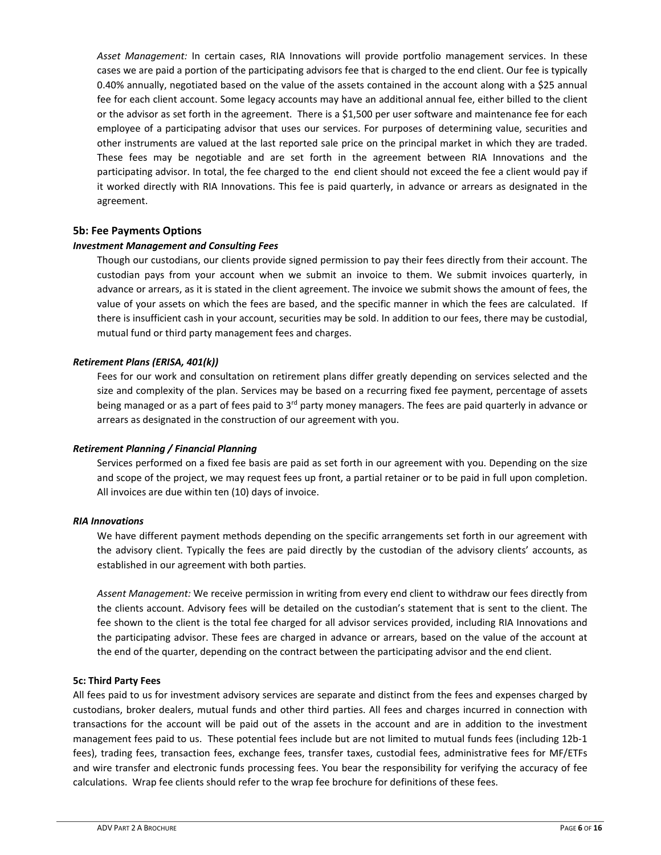*Asset Management:*  In certain cases, RIA Innovations will provide portfolio management services. In these cases we are paid a portion of the participating advisors fee that is charged to the end client. Our fee is typically 0.40% annually, negotiated based on the value of the assets contained in the account along with a \$25 annual fee for each client account. Some legacy accounts may have an additional annual fee, either billed to the client or the advisor as set forth in the agreement. There is a \$1,500 per user software and maintenance fee for each employee of a participating advisor that uses our services. For purposes of determining value, securities and other instruments are valued at the last reported sale price on the principal market in which they are traded. These fees may be negotiable and are set forth in the agreement between RIA Innovations and the participating advisor. In total, the fee charged to the end client should not exceed the fee a client would pay if it worked directly with RIA Innovations. This fee is paid quarterly, in advance or arrears as designated in the agreement.

# **5b: Fee Payments Options**

## *Investment Management and Consulting Fees*

Though our custodians, our clients provide signed permission to pay their fees directly from their account. The custodian pays from your account when we submit an invoice to them. We submit invoices quarterly, in advance or arrears, as it is stated in the client agreement. The invoice we submit shows the amount of fees, the value of your assets on which the fees are based, and the specific manner in which the fees are calculated. If there is insufficient cash in your account, securities may be sold. In addition to our fees, there may be custodial, mutual fund or third party management fees and charges.

## *Retirement Plans (ERISA, 401(k))*

Fees for our work and consultation on retirement plans differ greatly depending on services selected and the size and complexity of the plan. Services may be based on a recurring fixed fee payment, percentage of assets being managed or as a part of fees paid to  $3<sup>rd</sup>$  party money managers. The fees are paid quarterly in advance or arrears as designated in the construction of our agreement with you.

## *Retirement Planning / Financial Planning*

Services performed on a fixed fee basis are paid as set forth in our agreement with you. Depending on the size and scope of the project, we may request fees up front, a partial retainer or to be paid in full upon completion. All invoices are due within ten (10) days of invoice.

## *RIA Innovations*

We have different payment methods depending on the specific arrangements set forth in our agreement with the advisory client. Typically the fees are paid directly by the custodian of the advisory clients' accounts, as established in our agreement with both parties.

*Assent Management:* We receive permission in writing from every end client to withdraw our fees directly from the clients account. Advisory fees will be detailed on the custodian's statement that is sent to the client. The fee shown to the client is the total fee charged for all advisor services provided, including RIA Innovations and the participating advisor. These fees are charged in advance or arrears, based on the value of the account at the end of the quarter, depending on the contract between the participating advisor and the end client.

## **5c: Third Party Fees**

All fees paid to us for investment advisory services are separate and distinct from the fees and expenses charged by custodians, broker dealers, mutual funds and other third parties. All fees and charges incurred in connection with transactions for the account will be paid out of the assets in the account and are in addition to the investment management fees paid to us. These potential fees include but are not limited to mutual funds fees (including 12b‐1 fees), trading fees, transaction fees, exchange fees, transfer taxes, custodial fees, administrative fees for MF/ETFs and wire transfer and electronic funds processing fees. You bear the responsibility for verifying the accuracy of fee calculations. Wrap fee clients should refer to the wrap fee brochure for definitions of these fees.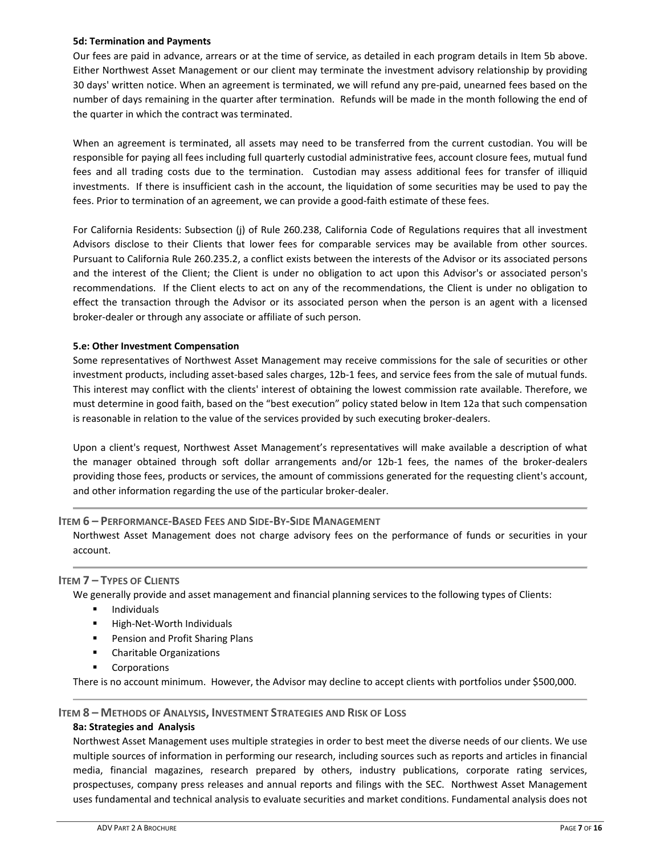## **5d: Termination and Payments**

Our fees are paid in advance, arrears or at the time of service, as detailed in each program details in Item 5b above. Either Northwest Asset Management or our client may terminate the investment advisory relationship by providing 30 days' written notice. When an agreement is terminated, we will refund any pre‐paid, unearned fees based on the number of days remaining in the quarter after termination. Refunds will be made in the month following the end of the quarter in which the contract was terminated.

When an agreement is terminated, all assets may need to be transferred from the current custodian. You will be responsible for paying all fees including full quarterly custodial administrative fees, account closure fees, mutual fund fees and all trading costs due to the termination. Custodian may assess additional fees for transfer of illiquid investments. If there is insufficient cash in the account, the liquidation of some securities may be used to pay the fees. Prior to termination of an agreement, we can provide a good-faith estimate of these fees.

For California Residents: Subsection (j) of Rule 260.238, California Code of Regulations requires that all investment Advisors disclose to their Clients that lower fees for comparable services may be available from other sources. Pursuant to California Rule 260.235.2, a conflict exists between the interests of the Advisor or its associated persons and the interest of the Client; the Client is under no obligation to act upon this Advisor's or associated person's recommendations. If the Client elects to act on any of the recommendations, the Client is under no obligation to effect the transaction through the Advisor or its associated person when the person is an agent with a licensed broker‐dealer or through any associate or affiliate of such person.

# **5.e: Other Investment Compensation**

Some representatives of Northwest Asset Management may receive commissions for the sale of securities or other investment products, including asset‐based sales charges, 12b‐1 fees, and service fees from the sale of mutual funds. This interest may conflict with the clients' interest of obtaining the lowest commission rate available. Therefore, we must determine in good faith, based on the "best execution" policy stated below in Item 12a that such compensation is reasonable in relation to the value of the services provided by such executing broker‐dealers.

Upon a client's request, Northwest Asset Management's representatives will make available a description of what the manager obtained through soft dollar arrangements and/or 12b-1 fees, the names of the broker-dealers providing those fees, products or services, the amount of commissions generated for the requesting client's account, and other information regarding the use of the particular broker‐dealer.

# **ITEM 6 – PERFORMANCE‐BASED FEES AND SIDE‐BY‐SIDE MANAGEMENT**

Northwest Asset Management does not charge advisory fees on the performance of funds or securities in your account.

# **ITEM 7 – TYPES OF CLIENTS**

We generally provide and asset management and financial planning services to the following types of Clients:

- Individuals
- High-Net-Worth Individuals
- **Pension and Profit Sharing Plans**
- **EXEC** Charitable Organizations
- **Corporations**

There is no account minimum. However, the Advisor may decline to accept clients with portfolios under \$500,000.

## **ITEM 8 – METHODS OF ANALYSIS, INVESTMENT STRATEGIES AND RISK OF LOSS**

## **8a: Strategies and Analysis**

Northwest Asset Management uses multiple strategies in order to best meet the diverse needs of our clients. We use multiple sources of information in performing our research, including sources such as reports and articles in financial media, financial magazines, research prepared by others, industry publications, corporate rating services, prospectuses, company press releases and annual reports and filings with the SEC. Northwest Asset Management uses fundamental and technical analysis to evaluate securities and market conditions. Fundamental analysis does not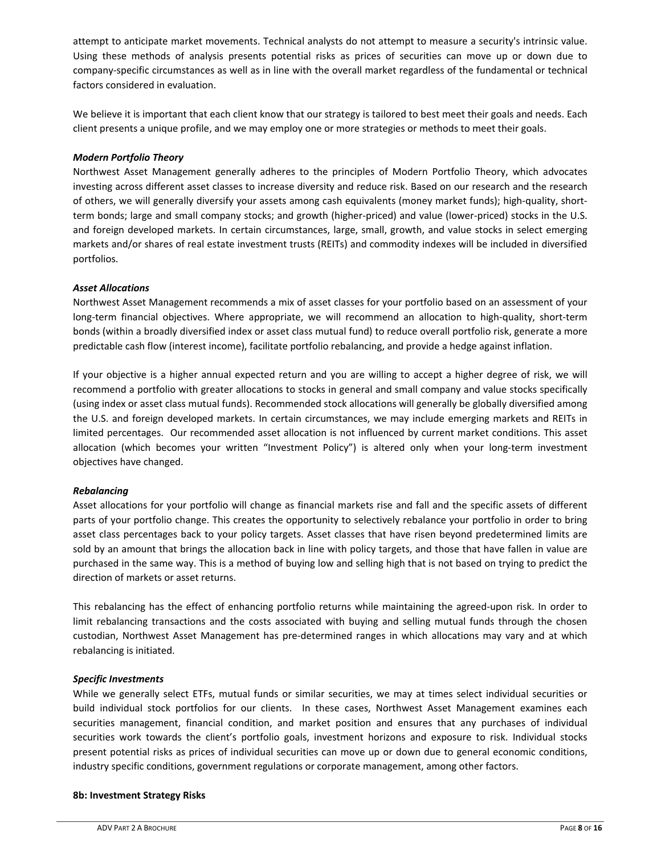attempt to anticipate market movements. Technical analysts do not attempt to measure a security's intrinsic value. Using these methods of analysis presents potential risks as prices of securities can move up or down due to company‐specific circumstances as well as in line with the overall market regardless of the fundamental or technical factors considered in evaluation.

We believe it is important that each client know that our strategy is tailored to best meet their goals and needs. Each client presents a unique profile, and we may employ one or more strategies or methods to meet their goals.

# *Modern Portfolio Theory*

Northwest Asset Management generally adheres to the principles of Modern Portfolio Theory, which advocates investing across different asset classes to increase diversity and reduce risk. Based on our research and the research of others, we will generally diversify your assets among cash equivalents (money market funds); high-quality, shortterm bonds; large and small company stocks; and growth (higher-priced) and value (lower-priced) stocks in the U.S. and foreign developed markets. In certain circumstances, large, small, growth, and value stocks in select emerging markets and/or shares of real estate investment trusts (REITs) and commodity indexes will be included in diversified portfolios.

# *Asset Allocations*

Northwest Asset Management recommends a mix of asset classes for your portfolio based on an assessment of your long-term financial objectives. Where appropriate, we will recommend an allocation to high-quality, short-term bonds (within a broadly diversified index or asset class mutual fund) to reduce overall portfolio risk, generate a more predictable cash flow (interest income), facilitate portfolio rebalancing, and provide a hedge against inflation.

If your objective is a higher annual expected return and you are willing to accept a higher degree of risk, we will recommend a portfolio with greater allocations to stocks in general and small company and value stocks specifically (using index or asset class mutual funds). Recommended stock allocations will generally be globally diversified among the U.S. and foreign developed markets. In certain circumstances, we may include emerging markets and REITs in limited percentages. Our recommended asset allocation is not influenced by current market conditions. This asset allocation (which becomes your written "Investment Policy") is altered only when your long-term investment objectives have changed.

# *Rebalancing*

Asset allocations for your portfolio will change as financial markets rise and fall and the specific assets of different parts of your portfolio change. This creates the opportunity to selectively rebalance your portfolio in order to bring asset class percentages back to your policy targets. Asset classes that have risen beyond predetermined limits are sold by an amount that brings the allocation back in line with policy targets, and those that have fallen in value are purchased in the same way. This is a method of buying low and selling high that is not based on trying to predict the direction of markets or asset returns.

This rebalancing has the effect of enhancing portfolio returns while maintaining the agreed-upon risk. In order to limit rebalancing transactions and the costs associated with buying and selling mutual funds through the chosen custodian, Northwest Asset Management has pre‐determined ranges in which allocations may vary and at which rebalancing is initiated.

# *Specific Investments*

While we generally select ETFs, mutual funds or similar securities, we may at times select individual securities or build individual stock portfolios for our clients. In these cases, Northwest Asset Management examines each securities management, financial condition, and market position and ensures that any purchases of individual securities work towards the client's portfolio goals, investment horizons and exposure to risk. Individual stocks present potential risks as prices of individual securities can move up or down due to general economic conditions, industry specific conditions, government regulations or corporate management, among other factors.

# **8b: Investment Strategy Risks**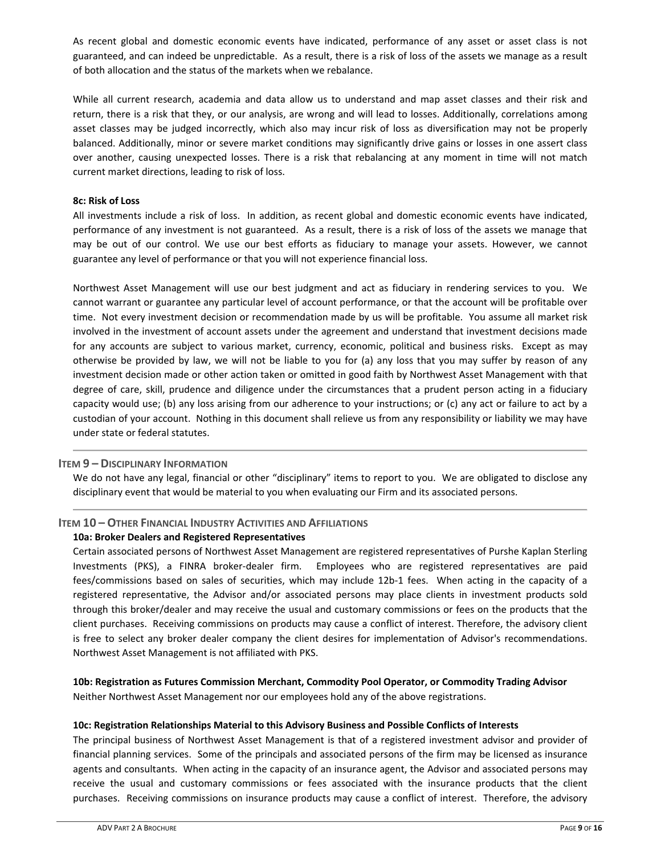As recent global and domestic economic events have indicated, performance of any asset or asset class is not guaranteed, and can indeed be unpredictable. As a result, there is a risk of loss of the assets we manage as a result of both allocation and the status of the markets when we rebalance.

While all current research, academia and data allow us to understand and map asset classes and their risk and return, there is a risk that they, or our analysis, are wrong and will lead to losses. Additionally, correlations among asset classes may be judged incorrectly, which also may incur risk of loss as diversification may not be properly balanced. Additionally, minor or severe market conditions may significantly drive gains or losses in one assert class over another, causing unexpected losses. There is a risk that rebalancing at any moment in time will not match current market directions, leading to risk of loss.

## **8c: Risk of Loss**

All investments include a risk of loss. In addition, as recent global and domestic economic events have indicated, performance of any investment is not guaranteed. As a result, there is a risk of loss of the assets we manage that may be out of our control. We use our best efforts as fiduciary to manage your assets. However, we cannot guarantee any level of performance or that you will not experience financial loss.

Northwest Asset Management will use our best judgment and act as fiduciary in rendering services to you. We cannot warrant or guarantee any particular level of account performance, or that the account will be profitable over time. Not every investment decision or recommendation made by us will be profitable. You assume all market risk involved in the investment of account assets under the agreement and understand that investment decisions made for any accounts are subject to various market, currency, economic, political and business risks. Except as may otherwise be provided by law, we will not be liable to you for (a) any loss that you may suffer by reason of any investment decision made or other action taken or omitted in good faith by Northwest Asset Management with that degree of care, skill, prudence and diligence under the circumstances that a prudent person acting in a fiduciary capacity would use; (b) any loss arising from our adherence to your instructions; or (c) any act or failure to act by a custodian of your account. Nothing in this document shall relieve us from any responsibility or liability we may have under state or federal statutes.

## **ITEM 9 – DISCIPLINARY INFORMATION**

We do not have any legal, financial or other "disciplinary" items to report to you. We are obligated to disclose any disciplinary event that would be material to you when evaluating our Firm and its associated persons.

# **ITEM 10 – OTHER FINANCIAL INDUSTRY ACTIVITIES AND AFFILIATIONS**

## **10a: Broker Dealers and Registered Representatives**

Certain associated persons of Northwest Asset Management are registered representatives of Purshe Kaplan Sterling Investments (PKS), a FINRA broker-dealer firm. Employees who are registered representatives are paid fees/commissions based on sales of securities, which may include 12b-1 fees. When acting in the capacity of a registered representative, the Advisor and/or associated persons may place clients in investment products sold through this broker/dealer and may receive the usual and customary commissions or fees on the products that the client purchases. Receiving commissions on products may cause a conflict of interest. Therefore, the advisory client is free to select any broker dealer company the client desires for implementation of Advisor's recommendations. Northwest Asset Management is not affiliated with PKS.

**10b: Registration as Futures Commission Merchant, Commodity Pool Operator, or Commodity Trading Advisor**  Neither Northwest Asset Management nor our employees hold any of the above registrations.

## **10c: Registration Relationships Material to this Advisory Business and Possible Conflicts of Interests**

The principal business of Northwest Asset Management is that of a registered investment advisor and provider of financial planning services. Some of the principals and associated persons of the firm may be licensed as insurance agents and consultants. When acting in the capacity of an insurance agent, the Advisor and associated persons may receive the usual and customary commissions or fees associated with the insurance products that the client purchases. Receiving commissions on insurance products may cause a conflict of interest. Therefore, the advisory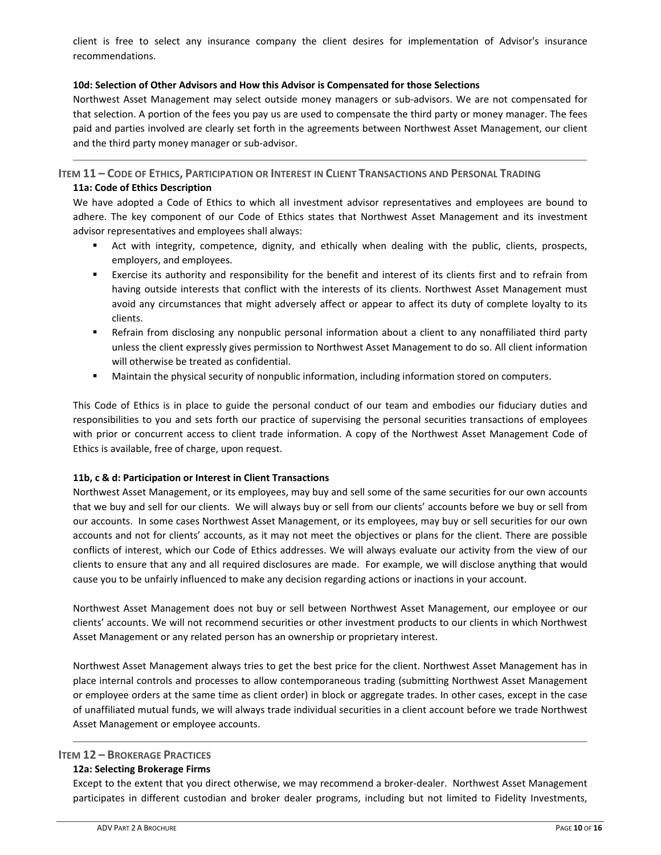client is free to select any insurance company the client desires for implementation of Advisor's insurance recommendations.

## **10d: Selection of Other Advisors and How this Advisor is Compensated for those Selections**

Northwest Asset Management may select outside money managers or sub‐advisors. We are not compensated for that selection. A portion of the fees you pay us are used to compensate the third party or money manager. The fees paid and parties involved are clearly set forth in the agreements between Northwest Asset Management, our client and the third party money manager or sub‐advisor.

**ITEM 11 – CODE OF ETHICS, PARTICIPATION OR INTEREST IN CLIENT TRANSACTIONS AND PERSONAL TRADING 11a: Code of Ethics Description** 

We have adopted a Code of Ethics to which all investment advisor representatives and employees are bound to adhere. The key component of our Code of Ethics states that Northwest Asset Management and its investment advisor representatives and employees shall always:

- Act with integrity, competence, dignity, and ethically when dealing with the public, clients, prospects, employers, and employees.
- Exercise its authority and responsibility for the benefit and interest of its clients first and to refrain from having outside interests that conflict with the interests of its clients. Northwest Asset Management must avoid any circumstances that might adversely affect or appear to affect its duty of complete loyalty to its clients.
- Refrain from disclosing any nonpublic personal information about a client to any nonaffiliated third party unless the client expressly gives permission to Northwest Asset Management to do so. All client information will otherwise be treated as confidential.
- Maintain the physical security of nonpublic information, including information stored on computers.

This Code of Ethics is in place to guide the personal conduct of our team and embodies our fiduciary duties and responsibilities to you and sets forth our practice of supervising the personal securities transactions of employees with prior or concurrent access to client trade information. A copy of the Northwest Asset Management Code of Ethics is available, free of charge, upon request.

# **11b, c & d: Participation or Interest in Client Transactions**

Northwest Asset Management, or its employees, may buy and sell some of the same securities for our own accounts that we buy and sell for our clients. We will always buy or sell from our clients' accounts before we buy or sell from our accounts. In some cases Northwest Asset Management, or its employees, may buy or sell securities for our own accounts and not for clients' accounts, as it may not meet the objectives or plans for the client. There are possible conflicts of interest, which our Code of Ethics addresses. We will always evaluate our activity from the view of our clients to ensure that any and all required disclosures are made. For example, we will disclose anything that would cause you to be unfairly influenced to make any decision regarding actions or inactions in your account.

Northwest Asset Management does not buy or sell between Northwest Asset Management, our employee or our clients' accounts. We will not recommend securities or other investment products to our clients in which Northwest Asset Management or any related person has an ownership or proprietary interest.

Northwest Asset Management always tries to get the best price for the client. Northwest Asset Management has in place internal controls and processes to allow contemporaneous trading (submitting Northwest Asset Management or employee orders at the same time as client order) in block or aggregate trades. In other cases, except in the case of unaffiliated mutual funds, we will always trade individual securities in a client account before we trade Northwest Asset Management or employee accounts.

# **ITEM 12 – BROKERAGE PRACTICES**

# **12a: Selecting Brokerage Firms**

Except to the extent that you direct otherwise, we may recommend a broker‐dealer. Northwest Asset Management participates in different custodian and broker dealer programs, including but not limited to Fidelity Investments,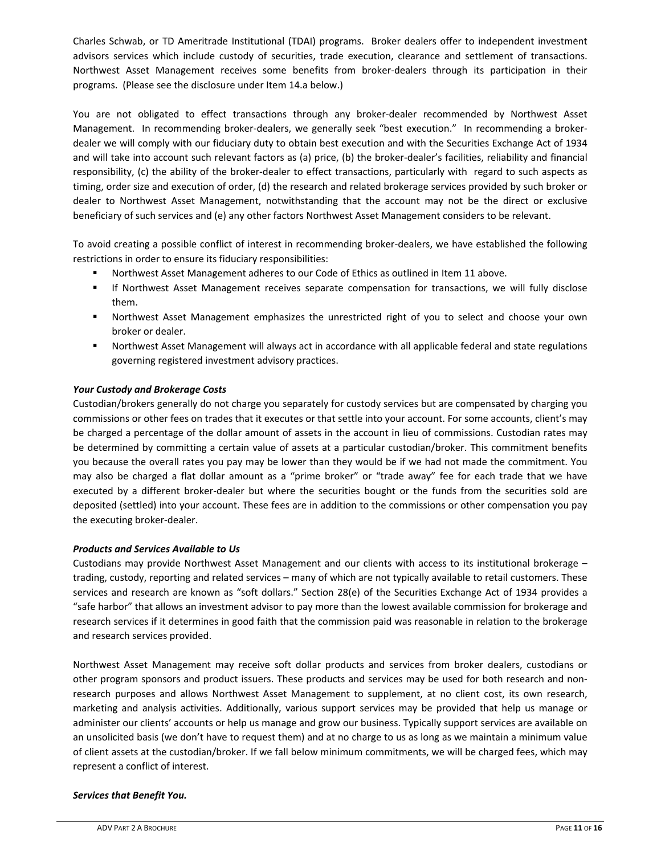Charles Schwab, or TD Ameritrade Institutional (TDAI) programs. Broker dealers offer to independent investment advisors services which include custody of securities, trade execution, clearance and settlement of transactions. Northwest Asset Management receives some benefits from broker‐dealers through its participation in their programs. (Please see the disclosure under Item 14.a below.)

You are not obligated to effect transactions through any broker-dealer recommended by Northwest Asset Management. In recommending broker-dealers, we generally seek "best execution." In recommending a brokerdealer we will comply with our fiduciary duty to obtain best execution and with the Securities Exchange Act of 1934 and will take into account such relevant factors as (a) price, (b) the broker‐dealer's facilities, reliability and financial responsibility, (c) the ability of the broker-dealer to effect transactions, particularly with regard to such aspects as timing, order size and execution of order, (d) the research and related brokerage services provided by such broker or dealer to Northwest Asset Management, notwithstanding that the account may not be the direct or exclusive beneficiary of such services and (e) any other factors Northwest Asset Management considers to be relevant.

To avoid creating a possible conflict of interest in recommending broker‐dealers, we have established the following restrictions in order to ensure its fiduciary responsibilities:

- Northwest Asset Management adheres to our Code of Ethics as outlined in Item 11 above.
- If Northwest Asset Management receives separate compensation for transactions, we will fully disclose them.
- Northwest Asset Management emphasizes the unrestricted right of you to select and choose your own broker or dealer.
- **Northwest Asset Management will always act in accordance with all applicable federal and state regulations** governing registered investment advisory practices.

# *Your Custody and Brokerage Costs*

Custodian/brokers generally do not charge you separately for custody services but are compensated by charging you commissions or other fees on trades that it executes or that settle into your account. For some accounts, client's may be charged a percentage of the dollar amount of assets in the account in lieu of commissions. Custodian rates may be determined by committing a certain value of assets at a particular custodian/broker. This commitment benefits you because the overall rates you pay may be lower than they would be if we had not made the commitment. You may also be charged a flat dollar amount as a "prime broker" or "trade away" fee for each trade that we have executed by a different broker-dealer but where the securities bought or the funds from the securities sold are deposited (settled) into your account. These fees are in addition to the commissions or other compensation you pay the executing broker‐dealer.

# *Products and Services Available to Us*

Custodians may provide Northwest Asset Management and our clients with access to its institutional brokerage – trading, custody, reporting and related services – many of which are not typically available to retail customers. These services and research are known as "soft dollars." Section 28(e) of the Securities Exchange Act of 1934 provides a "safe harbor" that allows an investment advisor to pay more than the lowest available commission for brokerage and research services if it determines in good faith that the commission paid was reasonable in relation to the brokerage and research services provided.

Northwest Asset Management may receive soft dollar products and services from broker dealers, custodians or other program sponsors and product issuers. These products and services may be used for both research and non‐ research purposes and allows Northwest Asset Management to supplement, at no client cost, its own research, marketing and analysis activities. Additionally, various support services may be provided that help us manage or administer our clients' accounts or help us manage and grow our business. Typically support services are available on an unsolicited basis (we don't have to request them) and at no charge to us as long as we maintain a minimum value of client assets at the custodian/broker. If we fall below minimum commitments, we will be charged fees, which may represent a conflict of interest.

# *Services that Benefit You.*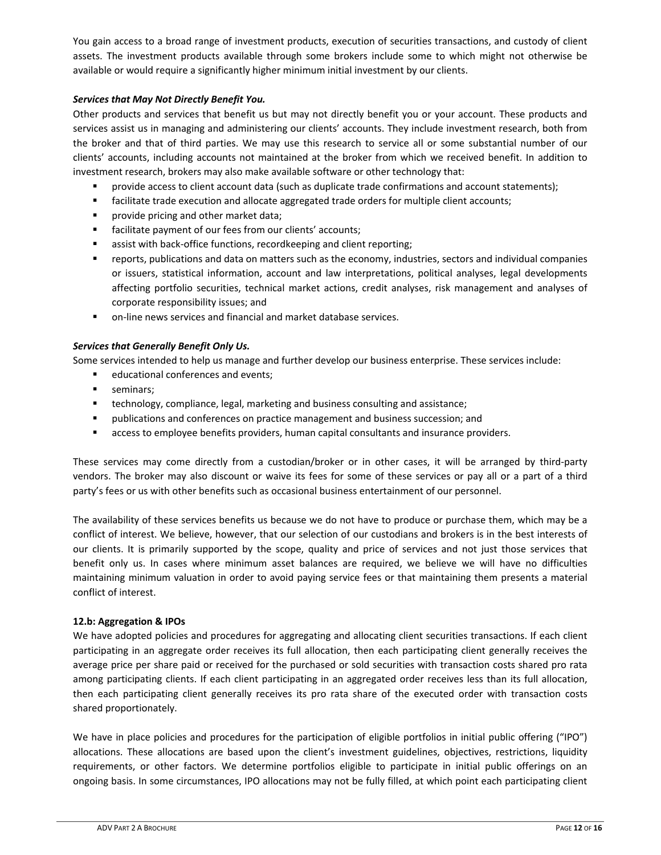You gain access to a broad range of investment products, execution of securities transactions, and custody of client assets. The investment products available through some brokers include some to which might not otherwise be available or would require a significantly higher minimum initial investment by our clients.

# *Services that May Not Directly Benefit You.*

Other products and services that benefit us but may not directly benefit you or your account. These products and services assist us in managing and administering our clients' accounts. They include investment research, both from the broker and that of third parties. We may use this research to service all or some substantial number of our clients' accounts, including accounts not maintained at the broker from which we received benefit. In addition to investment research, brokers may also make available software or other technology that:

- **PED 10** provide access to client account data (such as duplicate trade confirmations and account statements);
- facilitate trade execution and allocate aggregated trade orders for multiple client accounts;
- **P** provide pricing and other market data;
- facilitate payment of our fees from our clients' accounts;
- assist with back‐office functions, recordkeeping and client reporting;
- reports, publications and data on matters such as the economy, industries, sectors and individual companies or issuers, statistical information, account and law interpretations, political analyses, legal developments affecting portfolio securities, technical market actions, credit analyses, risk management and analyses of corporate responsibility issues; and
- on-line news services and financial and market database services.

# *Services that Generally Benefit Only Us.*

Some services intended to help us manage and further develop our business enterprise. These services include:

- educational conferences and events;
- **seminars**;
- **technology, compliance, legal, marketing and business consulting and assistance;**
- publications and conferences on practice management and business succession; and
- **EXEC** access to employee benefits providers, human capital consultants and insurance providers.

These services may come directly from a custodian/broker or in other cases, it will be arranged by third-party vendors. The broker may also discount or waive its fees for some of these services or pay all or a part of a third party's fees or us with other benefits such as occasional business entertainment of our personnel.

The availability of these services benefits us because we do not have to produce or purchase them, which may be a conflict of interest. We believe, however, that our selection of our custodians and brokers is in the best interests of our clients. It is primarily supported by the scope, quality and price of services and not just those services that benefit only us. In cases where minimum asset balances are required, we believe we will have no difficulties maintaining minimum valuation in order to avoid paying service fees or that maintaining them presents a material conflict of interest.

# **12.b: Aggregation & IPOs**

We have adopted policies and procedures for aggregating and allocating client securities transactions. If each client participating in an aggregate order receives its full allocation, then each participating client generally receives the average price per share paid or received for the purchased or sold securities with transaction costs shared pro rata among participating clients. If each client participating in an aggregated order receives less than its full allocation, then each participating client generally receives its pro rata share of the executed order with transaction costs shared proportionately.

We have in place policies and procedures for the participation of eligible portfolios in initial public offering ("IPO") allocations. These allocations are based upon the client's investment guidelines, objectives, restrictions, liquidity requirements, or other factors. We determine portfolios eligible to participate in initial public offerings on an ongoing basis. In some circumstances, IPO allocations may not be fully filled, at which point each participating client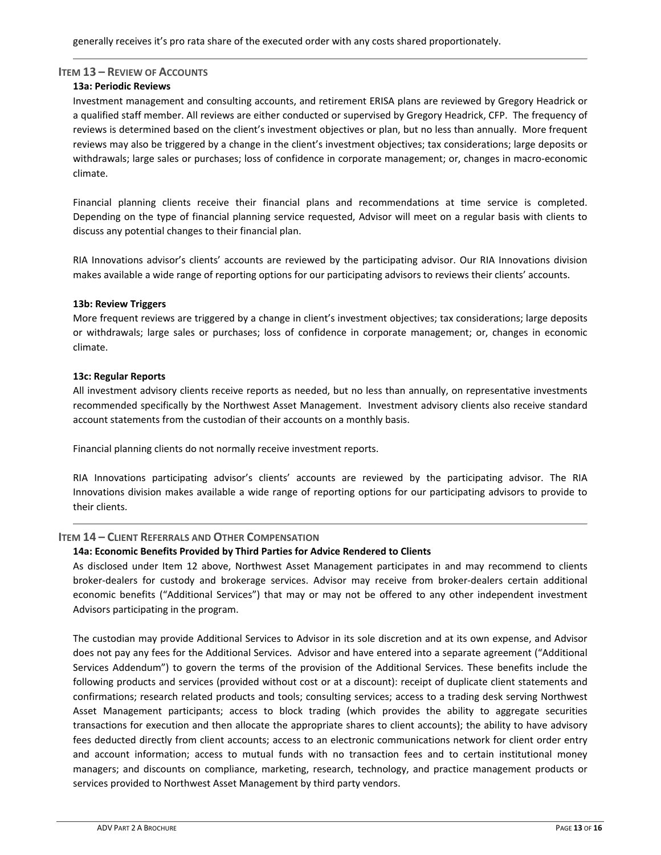## **ITEM 13 – REVIEW OF ACCOUNTS**

## **13a: Periodic Reviews**

Investment management and consulting accounts, and retirement ERISA plans are reviewed by Gregory Headrick or a qualified staff member. All reviews are either conducted or supervised by Gregory Headrick, CFP. The frequency of reviews is determined based on the client's investment objectives or plan, but no less than annually. More frequent reviews may also be triggered by a change in the client's investment objectives; tax considerations; large deposits or withdrawals; large sales or purchases; loss of confidence in corporate management; or, changes in macro‐economic climate.

Financial planning clients receive their financial plans and recommendations at time service is completed. Depending on the type of financial planning service requested, Advisor will meet on a regular basis with clients to discuss any potential changes to their financial plan.

RIA Innovations advisor's clients' accounts are reviewed by the participating advisor. Our RIA Innovations division makes available a wide range of reporting options for our participating advisors to reviews their clients' accounts.

## **13b: Review Triggers**

More frequent reviews are triggered by a change in client's investment objectives; tax considerations; large deposits or withdrawals; large sales or purchases; loss of confidence in corporate management; or, changes in economic climate.

## **13c: Regular Reports**

All investment advisory clients receive reports as needed, but no less than annually, on representative investments recommended specifically by the Northwest Asset Management. Investment advisory clients also receive standard account statements from the custodian of their accounts on a monthly basis.

Financial planning clients do not normally receive investment reports.

RIA Innovations participating advisor's clients' accounts are reviewed by the participating advisor. The RIA Innovations division makes available a wide range of reporting options for our participating advisors to provide to their clients.

# **ITEM 14 – CLIENT REFERRALS AND OTHER COMPENSATION**

# **14a: Economic Benefits Provided by Third Parties for Advice Rendered to Clients**

As disclosed under Item 12 above, Northwest Asset Management participates in and may recommend to clients broker‐dealers for custody and brokerage services. Advisor may receive from broker‐dealers certain additional economic benefits ("Additional Services") that may or may not be offered to any other independent investment Advisors participating in the program.

The custodian may provide Additional Services to Advisor in its sole discretion and at its own expense, and Advisor does not pay any fees for the Additional Services. Advisor and have entered into a separate agreement ("Additional Services Addendum") to govern the terms of the provision of the Additional Services. These benefits include the following products and services (provided without cost or at a discount): receipt of duplicate client statements and confirmations; research related products and tools; consulting services; access to a trading desk serving Northwest Asset Management participants; access to block trading (which provides the ability to aggregate securities transactions for execution and then allocate the appropriate shares to client accounts); the ability to have advisory fees deducted directly from client accounts; access to an electronic communications network for client order entry and account information; access to mutual funds with no transaction fees and to certain institutional money managers; and discounts on compliance, marketing, research, technology, and practice management products or services provided to Northwest Asset Management by third party vendors.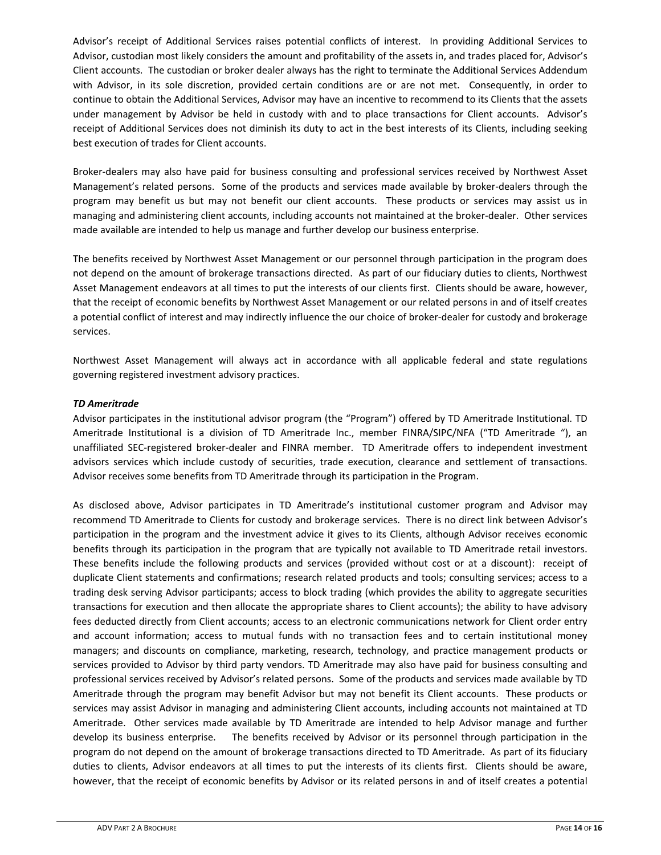Advisor's receipt of Additional Services raises potential conflicts of interest. In providing Additional Services to Advisor, custodian most likely considers the amount and profitability of the assets in, and trades placed for, Advisor's Client accounts. The custodian or broker dealer always has the right to terminate the Additional Services Addendum with Advisor, in its sole discretion, provided certain conditions are or are not met. Consequently, in order to continue to obtain the Additional Services, Advisor may have an incentive to recommend to its Clients that the assets under management by Advisor be held in custody with and to place transactions for Client accounts. Advisor's receipt of Additional Services does not diminish its duty to act in the best interests of its Clients, including seeking best execution of trades for Client accounts.

Broker‐dealers may also have paid for business consulting and professional services received by Northwest Asset Management's related persons. Some of the products and services made available by broker-dealers through the program may benefit us but may not benefit our client accounts. These products or services may assist us in managing and administering client accounts, including accounts not maintained at the broker-dealer. Other services made available are intended to help us manage and further develop our business enterprise.

The benefits received by Northwest Asset Management or our personnel through participation in the program does not depend on the amount of brokerage transactions directed. As part of our fiduciary duties to clients, Northwest Asset Management endeavors at all times to put the interests of our clients first. Clients should be aware, however, that the receipt of economic benefits by Northwest Asset Management or our related persons in and of itself creates a potential conflict of interest and may indirectly influence the our choice of broker‐dealer for custody and brokerage services.

Northwest Asset Management will always act in accordance with all applicable federal and state regulations governing registered investment advisory practices.

# *TD Ameritrade*

Advisor participates in the institutional advisor program (the "Program") offered by TD Ameritrade Institutional. TD Ameritrade Institutional is a division of TD Ameritrade Inc., member FINRA/SIPC/NFA ("TD Ameritrade "), an unaffiliated SEC‐registered broker‐dealer and FINRA member. TD Ameritrade offers to independent investment advisors services which include custody of securities, trade execution, clearance and settlement of transactions. Advisor receives some benefits from TD Ameritrade through its participation in the Program.

As disclosed above, Advisor participates in TD Ameritrade's institutional customer program and Advisor may recommend TD Ameritrade to Clients for custody and brokerage services. There is no direct link between Advisor's participation in the program and the investment advice it gives to its Clients, although Advisor receives economic benefits through its participation in the program that are typically not available to TD Ameritrade retail investors. These benefits include the following products and services (provided without cost or at a discount): receipt of duplicate Client statements and confirmations; research related products and tools; consulting services; access to a trading desk serving Advisor participants; access to block trading (which provides the ability to aggregate securities transactions for execution and then allocate the appropriate shares to Client accounts); the ability to have advisory fees deducted directly from Client accounts; access to an electronic communications network for Client order entry and account information; access to mutual funds with no transaction fees and to certain institutional money managers; and discounts on compliance, marketing, research, technology, and practice management products or services provided to Advisor by third party vendors. TD Ameritrade may also have paid for business consulting and professional services received by Advisor's related persons. Some of the products and services made available by TD Ameritrade through the program may benefit Advisor but may not benefit its Client accounts. These products or services may assist Advisor in managing and administering Client accounts, including accounts not maintained at TD Ameritrade. Other services made available by TD Ameritrade are intended to help Advisor manage and further develop its business enterprise. The benefits received by Advisor or its personnel through participation in the program do not depend on the amount of brokerage transactions directed to TD Ameritrade. As part of its fiduciary duties to clients, Advisor endeavors at all times to put the interests of its clients first. Clients should be aware, however, that the receipt of economic benefits by Advisor or its related persons in and of itself creates a potential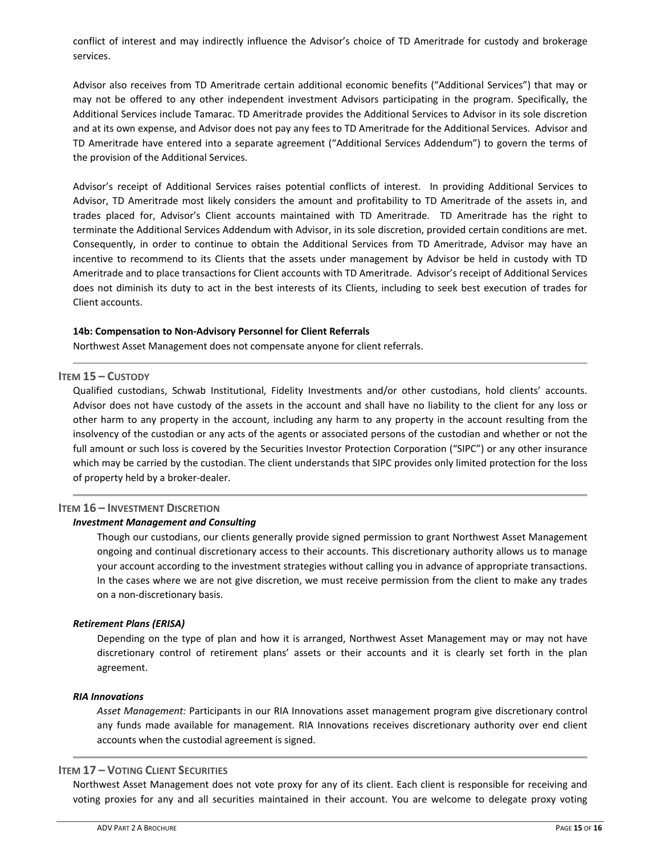conflict of interest and may indirectly influence the Advisor's choice of TD Ameritrade for custody and brokerage services.

Advisor also receives from TD Ameritrade certain additional economic benefits ("Additional Services") that may or may not be offered to any other independent investment Advisors participating in the program. Specifically, the Additional Services include Tamarac. TD Ameritrade provides the Additional Services to Advisor in its sole discretion and at its own expense, and Advisor does not pay any fees to TD Ameritrade for the Additional Services. Advisor and TD Ameritrade have entered into a separate agreement ("Additional Services Addendum") to govern the terms of the provision of the Additional Services.

Advisor's receipt of Additional Services raises potential conflicts of interest. In providing Additional Services to Advisor, TD Ameritrade most likely considers the amount and profitability to TD Ameritrade of the assets in, and trades placed for, Advisor's Client accounts maintained with TD Ameritrade. TD Ameritrade has the right to terminate the Additional Services Addendum with Advisor, in its sole discretion, provided certain conditions are met. Consequently, in order to continue to obtain the Additional Services from TD Ameritrade, Advisor may have an incentive to recommend to its Clients that the assets under management by Advisor be held in custody with TD Ameritrade and to place transactions for Client accounts with TD Ameritrade. Advisor's receipt of Additional Services does not diminish its duty to act in the best interests of its Clients, including to seek best execution of trades for Client accounts.

## **14b: Compensation to Non‐Advisory Personnel for Client Referrals**

Northwest Asset Management does not compensate anyone for client referrals.

# **ITEM 15 – CUSTODY**

Qualified custodians, Schwab Institutional, Fidelity Investments and/or other custodians, hold clients' accounts. Advisor does not have custody of the assets in the account and shall have no liability to the client for any loss or other harm to any property in the account, including any harm to any property in the account resulting from the insolvency of the custodian or any acts of the agents or associated persons of the custodian and whether or not the full amount or such loss is covered by the Securities Investor Protection Corporation ("SIPC") or any other insurance which may be carried by the custodian. The client understands that SIPC provides only limited protection for the loss of property held by a broker‐dealer.

# **ITEM 16 – INVESTMENT DISCRETION**

## *Investment Management and Consulting*

Though our custodians, our clients generally provide signed permission to grant Northwest Asset Management ongoing and continual discretionary access to their accounts. This discretionary authority allows us to manage your account according to the investment strategies without calling you in advance of appropriate transactions. In the cases where we are not give discretion, we must receive permission from the client to make any trades on a non‐discretionary basis.

## *Retirement Plans (ERISA)*

Depending on the type of plan and how it is arranged, Northwest Asset Management may or may not have discretionary control of retirement plans' assets or their accounts and it is clearly set forth in the plan agreement.

## *RIA Innovations*

*Asset Management:* Participants in our RIA Innovations asset management program give discretionary control any funds made available for management. RIA Innovations receives discretionary authority over end client accounts when the custodial agreement is signed.

# **ITEM 17 – VOTING CLIENT SECURITIES**

Northwest Asset Management does not vote proxy for any of its client. Each client is responsible for receiving and voting proxies for any and all securities maintained in their account. You are welcome to delegate proxy voting